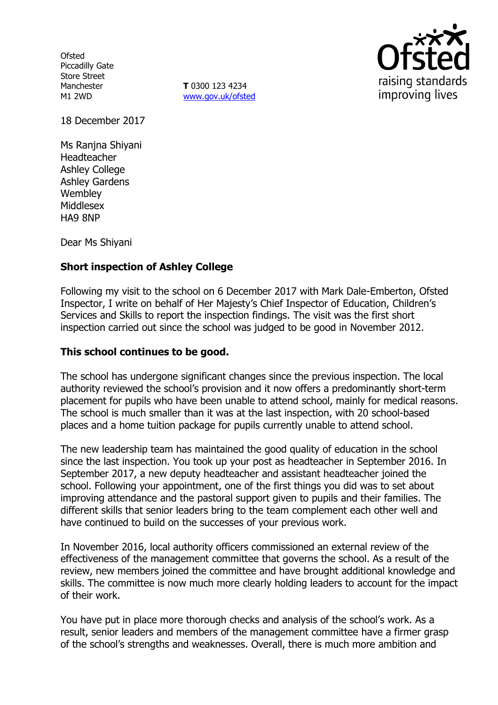**Ofsted** Piccadilly Gate Store Street Manchester M1 2WD

**T** 0300 123 4234 www.gov.uk/ofsted



18 December 2017

Ms Ranjna Shiyani Headteacher Ashley College Ashley Gardens **Wembley** Middlesex HA9 8NP

Dear Ms Shiyani

### **Short inspection of Ashley College**

Following my visit to the school on 6 December 2017 with Mark Dale-Emberton, Ofsted Inspector, I write on behalf of Her Majesty's Chief Inspector of Education, Children's Services and Skills to report the inspection findings. The visit was the first short inspection carried out since the school was judged to be good in November 2012.

#### **This school continues to be good.**

The school has undergone significant changes since the previous inspection. The local authority reviewed the school's provision and it now offers a predominantly short-term placement for pupils who have been unable to attend school, mainly for medical reasons. The school is much smaller than it was at the last inspection, with 20 school-based places and a home tuition package for pupils currently unable to attend school.

The new leadership team has maintained the good quality of education in the school since the last inspection. You took up your post as headteacher in September 2016. In September 2017, a new deputy headteacher and assistant headteacher joined the school. Following your appointment, one of the first things you did was to set about improving attendance and the pastoral support given to pupils and their families. The different skills that senior leaders bring to the team complement each other well and have continued to build on the successes of your previous work.

In November 2016, local authority officers commissioned an external review of the effectiveness of the management committee that governs the school. As a result of the review, new members joined the committee and have brought additional knowledge and skills. The committee is now much more clearly holding leaders to account for the impact of their work.

You have put in place more thorough checks and analysis of the school's work. As a result, senior leaders and members of the management committee have a firmer grasp of the school's strengths and weaknesses. Overall, there is much more ambition and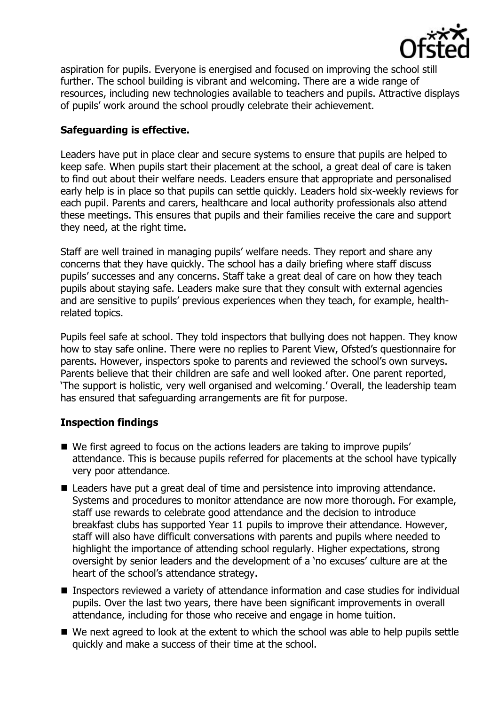

aspiration for pupils. Everyone is energised and focused on improving the school still further. The school building is vibrant and welcoming. There are a wide range of resources, including new technologies available to teachers and pupils. Attractive displays of pupils' work around the school proudly celebrate their achievement.

# **Safeguarding is effective.**

Leaders have put in place clear and secure systems to ensure that pupils are helped to keep safe. When pupils start their placement at the school, a great deal of care is taken to find out about their welfare needs. Leaders ensure that appropriate and personalised early help is in place so that pupils can settle quickly. Leaders hold six-weekly reviews for each pupil. Parents and carers, healthcare and local authority professionals also attend these meetings. This ensures that pupils and their families receive the care and support they need, at the right time.

Staff are well trained in managing pupils' welfare needs. They report and share any concerns that they have quickly. The school has a daily briefing where staff discuss pupils' successes and any concerns. Staff take a great deal of care on how they teach pupils about staying safe. Leaders make sure that they consult with external agencies and are sensitive to pupils' previous experiences when they teach, for example, healthrelated topics.

Pupils feel safe at school. They told inspectors that bullying does not happen. They know how to stay safe online. There were no replies to Parent View, Ofsted's questionnaire for parents. However, inspectors spoke to parents and reviewed the school's own surveys. Parents believe that their children are safe and well looked after. One parent reported, 'The support is holistic, very well organised and welcoming.' Overall, the leadership team has ensured that safeguarding arrangements are fit for purpose.

# **Inspection findings**

- We first agreed to focus on the actions leaders are taking to improve pupils' attendance. This is because pupils referred for placements at the school have typically very poor attendance.
- Leaders have put a great deal of time and persistence into improving attendance. Systems and procedures to monitor attendance are now more thorough. For example, staff use rewards to celebrate good attendance and the decision to introduce breakfast clubs has supported Year 11 pupils to improve their attendance. However, staff will also have difficult conversations with parents and pupils where needed to highlight the importance of attending school regularly. Higher expectations, strong oversight by senior leaders and the development of a 'no excuses' culture are at the heart of the school's attendance strategy.
- Inspectors reviewed a variety of attendance information and case studies for individual pupils. Over the last two years, there have been significant improvements in overall attendance, including for those who receive and engage in home tuition.
- We next agreed to look at the extent to which the school was able to help pupils settle quickly and make a success of their time at the school.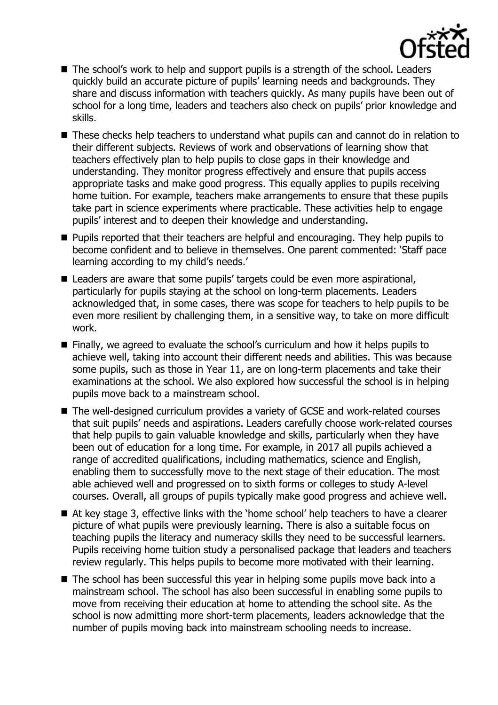

- The school's work to help and support pupils is a strength of the school. Leaders quickly build an accurate picture of pupils' learning needs and backgrounds. They share and discuss information with teachers quickly. As many pupils have been out of school for a long time, leaders and teachers also check on pupils' prior knowledge and skills.
- These checks help teachers to understand what pupils can and cannot do in relation to their different subjects. Reviews of work and observations of learning show that teachers effectively plan to help pupils to close gaps in their knowledge and understanding. They monitor progress effectively and ensure that pupils access appropriate tasks and make good progress. This equally applies to pupils receiving home tuition. For example, teachers make arrangements to ensure that these pupils take part in science experiments where practicable. These activities help to engage pupils' interest and to deepen their knowledge and understanding.
- **Pupils reported that their teachers are helpful and encouraging. They help pupils to** become confident and to believe in themselves. One parent commented: 'Staff pace learning according to my child's needs.'
- Leaders are aware that some pupils' targets could be even more aspirational, particularly for pupils staying at the school on long-term placements. Leaders acknowledged that, in some cases, there was scope for teachers to help pupils to be even more resilient by challenging them, in a sensitive way, to take on more difficult work.
- Finally, we agreed to evaluate the school's curriculum and how it helps pupils to achieve well, taking into account their different needs and abilities. This was because some pupils, such as those in Year 11, are on long-term placements and take their examinations at the school. We also explored how successful the school is in helping pupils move back to a mainstream school.
- The well-designed curriculum provides a variety of GCSE and work-related courses that suit pupils' needs and aspirations. Leaders carefully choose work-related courses that help pupils to gain valuable knowledge and skills, particularly when they have been out of education for a long time. For example, in 2017 all pupils achieved a range of accredited qualifications, including mathematics, science and English, enabling them to successfully move to the next stage of their education. The most able achieved well and progressed on to sixth forms or colleges to study A-level courses. Overall, all groups of pupils typically make good progress and achieve well.
- At key stage 3, effective links with the 'home school' help teachers to have a clearer picture of what pupils were previously learning. There is also a suitable focus on teaching pupils the literacy and numeracy skills they need to be successful learners. Pupils receiving home tuition study a personalised package that leaders and teachers review regularly. This helps pupils to become more motivated with their learning.
- $\blacksquare$  The school has been successful this year in helping some pupils move back into a mainstream school. The school has also been successful in enabling some pupils to move from receiving their education at home to attending the school site. As the school is now admitting more short-term placements, leaders acknowledge that the number of pupils moving back into mainstream schooling needs to increase.